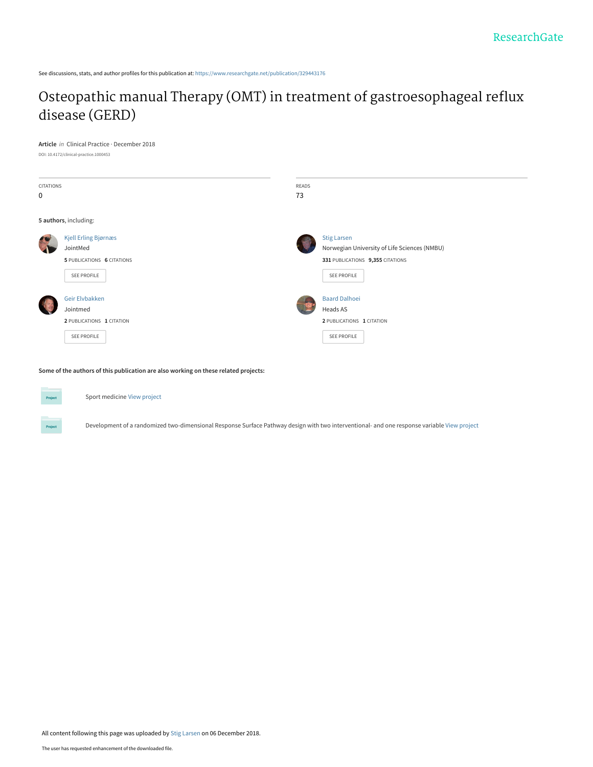See discussions, stats, and author profiles for this publication at: [https://www.researchgate.net/publication/329443176](https://www.researchgate.net/publication/329443176_Osteopathic_manual_Therapy_OMT_in_treatment_of_gastroesophageal_reflux_disease_GERD?enrichId=rgreq-4b0dd4d11267a0bc1866ffcacf23cf05-XXX&enrichSource=Y292ZXJQYWdlOzMyOTQ0MzE3NjtBUzo3MDA3NTk5MTgyNzI1MTJAMTU0NDA4NTU5MjEyNw%3D%3D&el=1_x_2&_esc=publicationCoverPdf)

# [Osteopathic manual Therapy \(OMT\) in treatment of gastroesophageal reflux](https://www.researchgate.net/publication/329443176_Osteopathic_manual_Therapy_OMT_in_treatment_of_gastroesophageal_reflux_disease_GERD?enrichId=rgreq-4b0dd4d11267a0bc1866ffcacf23cf05-XXX&enrichSource=Y292ZXJQYWdlOzMyOTQ0MzE3NjtBUzo3MDA3NTk5MTgyNzI1MTJAMTU0NDA4NTU5MjEyNw%3D%3D&el=1_x_3&_esc=publicationCoverPdf) disease (GERD)

#### **Article** in Clinical Practice · December 2018

DOI: 10.4172/clinical-practice.1000453

| CITATIONS<br>$\mathbf 0$ |                                                                                      | READS<br>73 |                                                                                                                       |  |  |
|--------------------------|--------------------------------------------------------------------------------------|-------------|-----------------------------------------------------------------------------------------------------------------------|--|--|
| 5 authors, including:    |                                                                                      |             |                                                                                                                       |  |  |
|                          | <b>Kjell Erling Bjørnæs</b><br>JointMed<br>5 PUBLICATIONS 6 CITATIONS<br>SEE PROFILE |             | <b>Stig Larsen</b><br>Norwegian University of Life Sciences (NMBU)<br>331 PUBLICATIONS 9,355 CITATIONS<br>SEE PROFILE |  |  |
|                          | Geir Elvbakken<br>Jointmed<br>2 PUBLICATIONS 1 CITATION<br>SEE PROFILE               |             | <b>Baard Dalhoei</b><br>Heads AS<br>2 PUBLICATIONS 1 CITATION<br>SEE PROFILE                                          |  |  |

**Some of the authors of this publication are also working on these related projects:**



Project

Sport medicine [View project](https://www.researchgate.net/project/Sport-medicine?enrichId=rgreq-4b0dd4d11267a0bc1866ffcacf23cf05-XXX&enrichSource=Y292ZXJQYWdlOzMyOTQ0MzE3NjtBUzo3MDA3NTk5MTgyNzI1MTJAMTU0NDA4NTU5MjEyNw%3D%3D&el=1_x_9&_esc=publicationCoverPdf)

Development of a randomized two-dimensional Response Surface Pathway design with two interventional- and one response variable [View project](https://www.researchgate.net/project/Development-of-a-randomized-two-dimensional-Response-Surface-Pathway-design-with-two-interventional-and-one-response-variable?enrichId=rgreq-4b0dd4d11267a0bc1866ffcacf23cf05-XXX&enrichSource=Y292ZXJQYWdlOzMyOTQ0MzE3NjtBUzo3MDA3NTk5MTgyNzI1MTJAMTU0NDA4NTU5MjEyNw%3D%3D&el=1_x_9&_esc=publicationCoverPdf)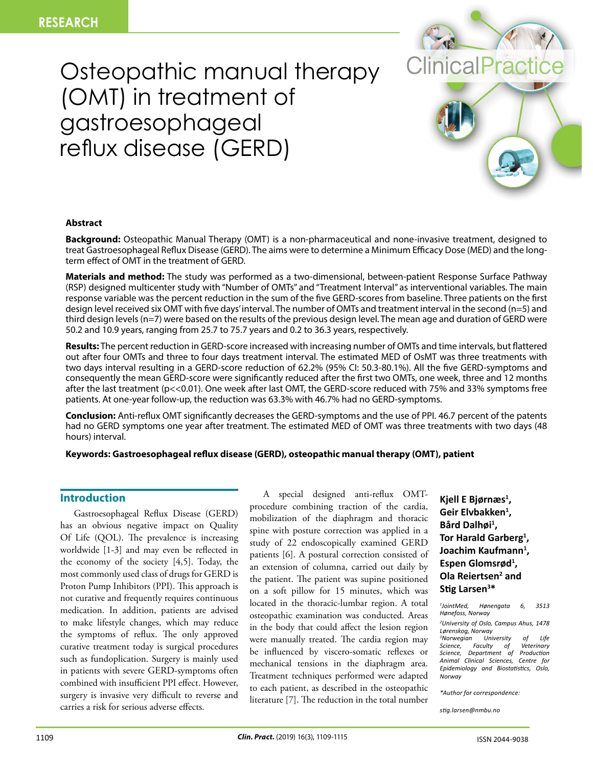# Osteopathic manual therapy (OMT) in treatment of gastroesophageal reflux disease (GERD)



#### **Abstract**

**Background:** Osteopathic Manual Therapy (OMT) is a non-pharmaceutical and none-invasive treatment, designed to treat Gastroesophageal Reflux Disease (GERD). The aims were to determine a Minimum Efficacy Dose (MED) and the longterm effect of OMT in the treatment of GERD.

**Materials and method:** The study was performed as a two-dimensional, between-patient Response Surface Pathway (RSP) designed multicenter study with "Number of OMTs" and "Treatment Interval" as interventional variables. The main response variable was the percent reduction in the sum of the five GERD-scores from baseline. Three patients on the first design level received six OMT with five days' interval. The number of OMTs and treatment interval in the second (n=5) and third design levels (n=7) were based on the results of the previous design level. The mean age and duration of GERD were 50.2 and 10.9 years, ranging from 25.7 to 75.7 years and 0.2 to 36.3 years, respectively.

**Results:** The percent reduction in GERD-score increased with increasing number of OMTs and time intervals, but flattered out after four OMTs and three to four days treatment interval. The estimated MED of OsMT was three treatments with two days interval resulting in a GERD-score reduction of 62.2% (95% CI: 50.3-80.1%). All the five GERD-symptoms and consequently the mean GERD-score were significantly reduced after the first two OMTs, one week, three and 12 months after the last treatment (p<<0.01). One week after last OMT, the GERD-score reduced with 75% and 33% symptoms free patients. At one-year follow-up, the reduction was 63.3% with 46.7% had no GERD-symptoms.

**Conclusion:** Anti-reflux OMT significantly decreases the GERD-symptoms and the use of PPI. 46.7 percent of the patents had no GERD symptoms one year after treatment. The estimated MED of OMT was three treatments with two days (48 hours) interval.

#### **Keywords: Gastroesophageal reflux disease (GERD), osteopathic manual therapy (OMT), patient**

#### **Introduction**

Gastroesophageal Reflux Disease (GERD) has an obvious negative impact on Quality Of Life (QOL). The prevalence is increasing worldwide [1-3] and may even be reflected in the economy of the society [4,5]. Today, the most commonly used class of drugs for GERD is Proton Pump Inhibitors (PPI). This approach is not curative and frequently requires continuous medication. In addition, patients are advised to make lifestyle changes, which may reduce the symptoms of reflux. The only approved curative treatment today is surgical procedures such as fundoplication. Surgery is mainly used in patients with severe GERD-symptoms often combined with insufficient PPI effect. However, surgery is invasive very difficult to reverse and carries a risk for serious adverse effects.

A special designed anti-reflux OMTprocedure combining traction of the cardia, mobilization of the diaphragm and thoracic spine with posture correction was applied in a study of 22 endoscopically examined GERD patients [6]. A postural correction consisted of an extension of columna, carried out daily by the patient. The patient was supine positioned on a soft pillow for 15 minutes, which was located in the thoracic-lumbar region. A total osteopathic examination was conducted. Areas in the body that could affect the lesion region were manually treated. The cardia region may be influenced by viscero-somatic reflexes or mechanical tensions in the diaphragm area. Treatment techniques performed were adapted to each patient, as described in the osteopathic literature [7]. The reduction in the total number

**Kjell E Bjørnæs1 ,**  Geir Elvbakken<sup>1</sup>, Bård Dalhøi<sup>1</sup>, **Tor Harald Garberg1 , Joachim Kaufmann1 , Espen Glomsrød1 , Ola Reiertsen<sup>2</sup> and Stig Larsen<sup>3</sup> \***

*1 JointMed, Hønengata 6, 3513 Hønefoss, Norway 2 University of Oslo, Campus Ahus, 1478 Lørenskog, Norway 3 Norwegian University of Life* 

*Science, Faculty of Veterinary Science, Department of Production Animal Clinical Sciences, Centre for Epidemiology and Biostatistics, Oslo, Norway*

*\*Author for correspondence:*

*stig.larsen@nmbu.no*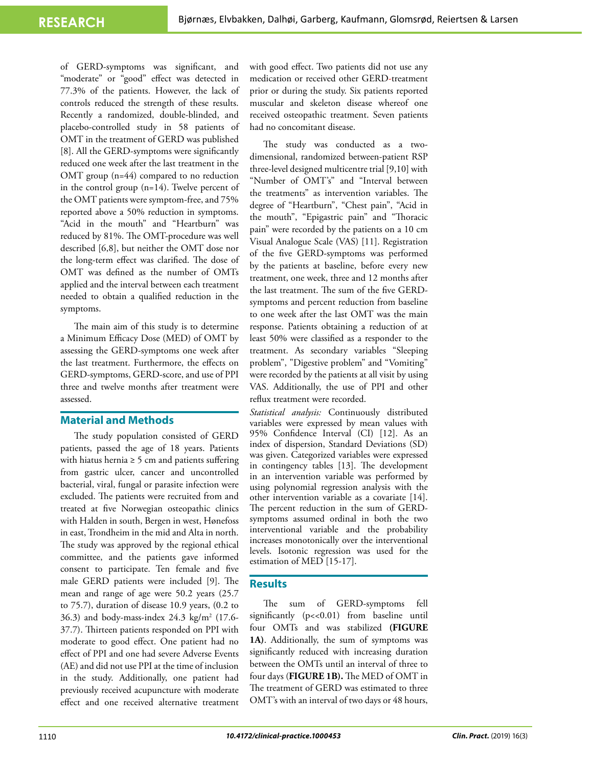of GERD-symptoms was significant, and "moderate" or "good" effect was detected in 77.3% of the patients. However, the lack of controls reduced the strength of these results. Recently a randomized, double-blinded, and placebo-controlled study in 58 patients of OMT in the treatment of GERD was published [8]. All the GERD-symptoms were significantly reduced one week after the last treatment in the OMT group (n=44) compared to no reduction in the control group (n=14). Twelve percent of the OMT patients were symptom-free, and 75% reported above a 50% reduction in symptoms. "Acid in the mouth" and "Heartburn" was reduced by 81%. The OMT-procedure was well described [6,8], but neither the OMT dose nor the long-term effect was clarified. The dose of OMT was defined as the number of OMTs applied and the interval between each treatment needed to obtain a qualified reduction in the symptoms.

The main aim of this study is to determine a Minimum Efficacy Dose (MED) of OMT by assessing the GERD-symptoms one week after the last treatment. Furthermore, the effects on GERD-symptoms, GERD-score, and use of PPI three and twelve months after treatment were assessed.

#### **Material and Methods**

The study population consisted of GERD patients, passed the age of 18 years. Patients with hiatus hernia  $\geq 5$  cm and patients suffering from gastric ulcer, cancer and uncontrolled bacterial, viral, fungal or parasite infection were excluded. The patients were recruited from and treated at five Norwegian osteopathic clinics with Halden in south, Bergen in west, Hønefoss in east, Trondheim in the mid and Alta in north. The study was approved by the regional ethical committee, and the patients gave informed consent to participate. Ten female and five male GERD patients were included [9]. The mean and range of age were 50.2 years (25.7 to 75.7), duration of disease 10.9 years, (0.2 to 36.3) and body-mass-index  $24.3 \text{ kg/m}^2$  (17.6-37.7). Thirteen patients responded on PPI with moderate to good effect. One patient had no effect of PPI and one had severe Adverse Events (AE) and did not use PPI at the time of inclusion in the study. Additionally, one patient had previously received acupuncture with moderate effect and one received alternative treatment

with good effect. Two patients did not use any medication or received other GERD-treatment prior or during the study. Six patients reported muscular and skeleton disease whereof one received osteopathic treatment. Seven patients had no concomitant disease.

The study was conducted as a twodimensional, randomized between-patient RSP three-level designed multicentre trial [9,10] with "Number of OMT's" and "Interval between the treatments" as intervention variables. The degree of "Heartburn", "Chest pain", "Acid in the mouth", "Epigastric pain" and "Thoracic pain" were recorded by the patients on a 10 cm Visual Analogue Scale (VAS) [11]. Registration of the five GERD-symptoms was performed by the patients at baseline, before every new treatment, one week, three and 12 months after the last treatment. The sum of the five GERDsymptoms and percent reduction from baseline to one week after the last OMT was the main response. Patients obtaining a reduction of at least 50% were classified as a responder to the treatment. As secondary variables "Sleeping problem", "Digestive problem" and "Vomiting" were recorded by the patients at all visit by using VAS. Additionally, the use of PPI and other reflux treatment were recorded.

*Statistical analysis:* Continuously distributed variables were expressed by mean values with 95% Confidence Interval (CI) [12]. As an index of dispersion, Standard Deviations (SD) was given. Categorized variables were expressed in contingency tables [13]. The development in an intervention variable was performed by using polynomial regression analysis with the other intervention variable as a covariate [14]. The percent reduction in the sum of GERDsymptoms assumed ordinal in both the two interventional variable and the probability increases monotonically over the interventional levels. Isotonic regression was used for the estimation of MED [15-17].

## **Results**

The sum of GERD-symptoms fell significantly  $(p\ll0.01)$  from baseline until four OMTs and was stabilized **(FIGURE 1A)**. Additionally, the sum of symptoms was significantly reduced with increasing duration between the OMTs until an interval of three to four days (**FIGURE 1B).** The MED of OMT in The treatment of GERD was estimated to three OMT's with an interval of two days or 48 hours,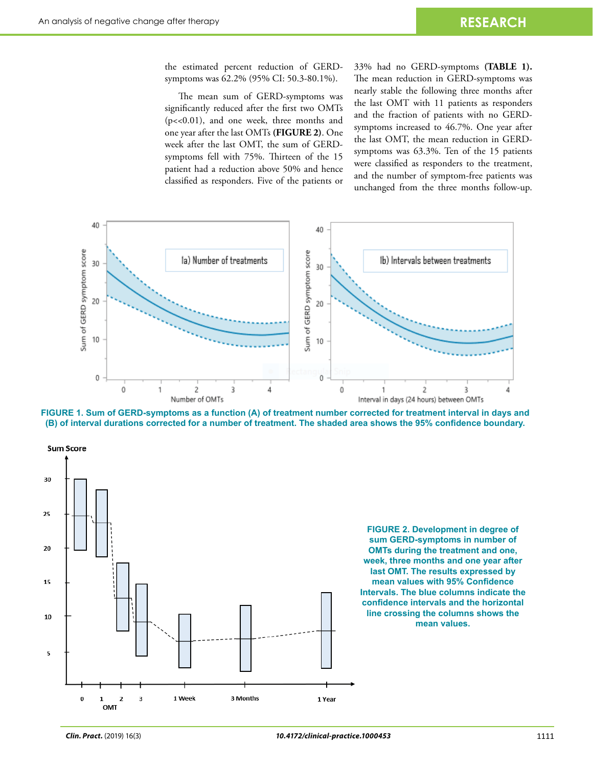the estimated percent reduction of GERDsymptoms was 62.2% (95% CI: 50.3-80.1%).

The mean sum of GERD-symptoms was significantly reduced after the first two OMTs  $(p<<0.01)$ , and one week, three months and one year after the last OMTs **(FIGURE 2)**. One week after the last OMT, the sum of GERDsymptoms fell with 75%. Thirteen of the 15 patient had a reduction above 50% and hence classified as responders. Five of the patients or 33% had no GERD-symptoms **(TABLE 1).** The mean reduction in GERD-symptoms was nearly stable the following three months after the last OMT with 11 patients as responders and the fraction of patients with no GERDsymptoms increased to 46.7%. One year after the last OMT, the mean reduction in GERDsymptoms was 63.3%. Ten of the 15 patients were classified as responders to the treatment, and the number of symptom-free patients was unchanged from the three months follow-up.



**FIGURE 1. Sum of GERD-symptoms as a function (A) of treatment number corrected for treatment interval in days and (B) of interval durations corrected for a number of treatment. The shaded area shows the 95% confidence boundary.**

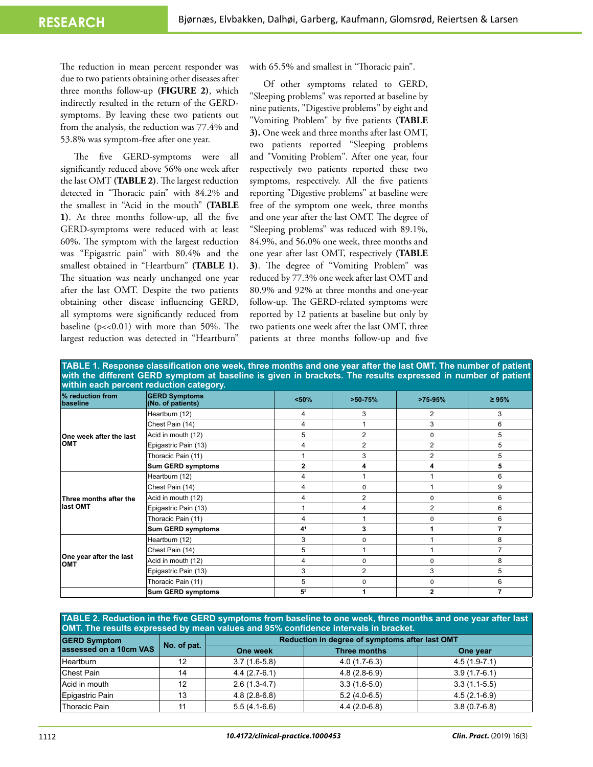The reduction in mean percent responder was due to two patients obtaining other diseases after three months follow-up **(FIGURE 2)**, which indirectly resulted in the return of the GERDsymptoms. By leaving these two patients out from the analysis, the reduction was 77.4% and 53.8% was symptom-free after one year.

The five GERD-symptoms were all significantly reduced above 56% one week after the last OMT **(TABLE 2)**. The largest reduction detected in "Thoracic pain" with 84.2% and the smallest in "Acid in the mouth" **(TABLE 1)**. At three months follow-up, all the five GERD-symptoms were reduced with at least 60%. The symptom with the largest reduction was "Epigastric pain" with 80.4% and the smallest obtained in "Heartburn" **(TABLE 1)**. The situation was nearly unchanged one year after the last OMT. Despite the two patients obtaining other disease influencing GERD, all symptoms were significantly reduced from baseline  $(p\ll0.01)$  with more than 50%. The largest reduction was detected in "Heartburn"

with 65.5% and smallest in "Thoracic pain".

Of other symptoms related to GERD, "Sleeping problems" was reported at baseline by nine patients, "Digestive problems" by eight and "Vomiting Problem" by five patients **(TABLE 3).** One week and three months after last OMT, two patients reported "Sleeping problems and "Vomiting Problem". After one year, four respectively two patients reported these two symptoms, respectively. All the five patients reporting "Digestive problems" at baseline were free of the symptom one week, three months and one year after the last OMT. The degree of "Sleeping problems" was reduced with 89.1%, 84.9%, and 56.0% one week, three months and one year after last OMT, respectively **(TABLE 3)**. The degree of "Vomiting Problem" was reduced by 77.3% one week after last OMT and 80.9% and 92% at three months and one-year follow-up. The GERD-related symptoms were reported by 12 patients at baseline but only by two patients one week after the last OMT, three patients at three months follow-up and five

| TABLE 1. Response classification one week, three months and one year after the last OMT. The number of patient<br>with the different GERD symptom at baseline is given in brackets. The results expressed in number of patient<br>within each percent reduction category. |                                           |                |                |                |             |
|---------------------------------------------------------------------------------------------------------------------------------------------------------------------------------------------------------------------------------------------------------------------------|-------------------------------------------|----------------|----------------|----------------|-------------|
| % reduction from<br>baseline                                                                                                                                                                                                                                              | <b>GERD Symptoms</b><br>(No. of patients) | < 50%          | $>50-75%$      | $>75-95%$      | $\geq 95\%$ |
|                                                                                                                                                                                                                                                                           | Heartburn (12)                            | 4              | 3              | 2              | 3           |
|                                                                                                                                                                                                                                                                           | Chest Pain (14)                           | 4              |                | 3              | 6           |
| One week after the last                                                                                                                                                                                                                                                   | Acid in mouth (12)                        | 5              | 2              | $\Omega$       | 5           |
| <b>OMT</b>                                                                                                                                                                                                                                                                | Epigastric Pain (13)                      | 4              | 2              | $\overline{2}$ | 5           |
|                                                                                                                                                                                                                                                                           | Thoracic Pain (11)                        |                | 3              | 2              | 5           |
|                                                                                                                                                                                                                                                                           | <b>Sum GERD symptoms</b>                  | $\mathbf{2}$   | 4              |                | 5           |
|                                                                                                                                                                                                                                                                           | Heartburn (12)                            | 4              |                |                | 6           |
|                                                                                                                                                                                                                                                                           | Chest Pain (14)                           | 4              | 0              |                | 9           |
| Three months after the                                                                                                                                                                                                                                                    | Acid in mouth (12)                        | 4              | 2              | $\Omega$       | 6           |
| last OMT                                                                                                                                                                                                                                                                  | Epigastric Pain (13)                      | 1              | 4              | $\mathcal{P}$  | 6           |
|                                                                                                                                                                                                                                                                           | Thoracic Pain (11)                        | 4              |                | <sup>0</sup>   | 6           |
|                                                                                                                                                                                                                                                                           | <b>Sum GERD symptoms</b>                  | 41             | 3              |                | 7           |
|                                                                                                                                                                                                                                                                           | Heartburn (12)                            | 3              | 0              |                | 8           |
|                                                                                                                                                                                                                                                                           | Chest Pain (14)                           | 5              |                |                | 7           |
| One year after the last<br><b>OMT</b>                                                                                                                                                                                                                                     | Acid in mouth (12)                        | 4              | 0              | <sup>0</sup>   | 8           |
|                                                                                                                                                                                                                                                                           | Epigastric Pain (13)                      | 3              | $\overline{2}$ | 3              | 5           |
|                                                                                                                                                                                                                                                                           | Thoracic Pain (11)                        | 5              | 0              | $\Omega$       | 6           |
|                                                                                                                                                                                                                                                                           | <b>Sum GERD symptoms</b>                  | 5 <sup>2</sup> |                |                | 7           |

**TABLE 2. Reduction in the five GERD symptoms from baseline to one week, three months and one year after last OMT. The results expressed by mean values and 95% confidence intervals in bracket.**

| <b>GERD Symptom</b>    | No. of pat. | Reduction in degree of symptoms after last OMT |                |                  |  |  |
|------------------------|-------------|------------------------------------------------|----------------|------------------|--|--|
| assessed on a 10cm VAS |             | One week                                       | Three months   | One year         |  |  |
| Heartburn              | 12          | $3.7(1.6-5.8)$                                 | $4.0(1.7-6.3)$ | $4.5(1.9 - 7.1)$ |  |  |
| Chest Pain             | 14          | $4.4(2.7-6.1)$                                 | $4.8(2.8-6.9)$ | $3.9(1.7-6.1)$   |  |  |
| Acid in mouth          | 12          | $2.6(1.3-4.7)$                                 | $3.3(1.6-5.0)$ | $3.3(1.1-5.5)$   |  |  |
| Epigastric Pain        | 13          | $4.8(2.8-6.8)$                                 | $5.2(4.0-6.5)$ | $4.5(2.1-6.9)$   |  |  |
| Thoracic Pain          |             | $5.5(4.1-6.6)$                                 | $4.4(2.0-6.8)$ | $3.8(0.7-6.8)$   |  |  |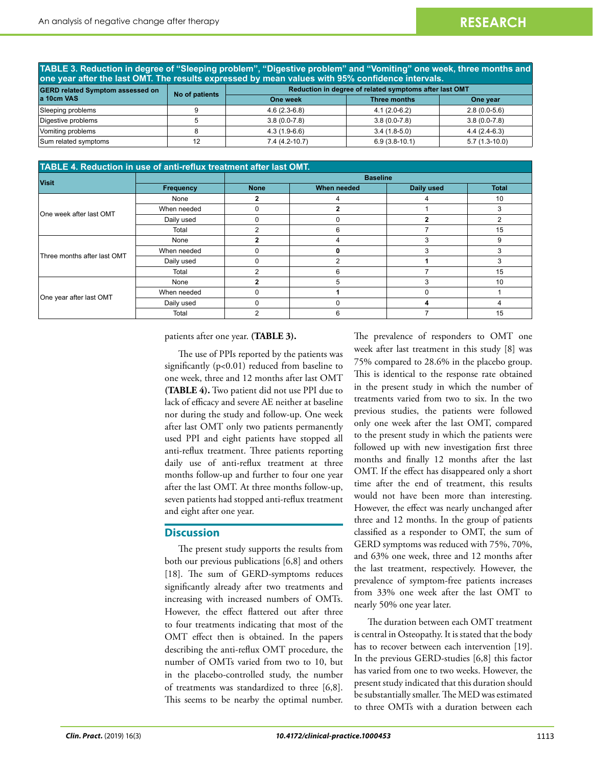**TABLE 3. Reduction in degree of "Sleeping problem", "Digestive problem" and "Vomiting" one week, three months and one year after the last OMT. The results expressed by mean values with 95% confidence intervals.**

| <b>GERD related Symptom assessed on</b> | No of patients | Reduction in degree of related symptoms after last OMT |                 |                 |  |  |
|-----------------------------------------|----------------|--------------------------------------------------------|-----------------|-----------------|--|--|
| a 10cm VAS                              |                | One week                                               | Three months    | One year        |  |  |
| Sleeping problems                       |                | $4.6(2.3-6.8)$                                         | $4.1(2.0-6.2)$  | $2.8(0.0-5.6)$  |  |  |
| Digestive problems                      |                | $3.8(0.0-7.8)$                                         | $3.8(0.0-7.8)$  | $3.8(0.0-7.8)$  |  |  |
| Vomiting problems                       |                | $4.3(1.9-6.6)$                                         | $3.4(1.8-5.0)$  | $4.4(2.4-6.3)$  |  |  |
| Sum related symptoms                    |                | 7.4 (4.2-10.7)                                         | $6.9(3.8-10.1)$ | $5.7(1.3-10.0)$ |  |  |

| TABLE 4. Reduction in use of anti-reflux treatment after last OMT. |                  |                 |              |              |              |  |  |
|--------------------------------------------------------------------|------------------|-----------------|--------------|--------------|--------------|--|--|
| <b>Visit</b>                                                       |                  | <b>Baseline</b> |              |              |              |  |  |
|                                                                    | <b>Frequency</b> | <b>None</b>     | When needed  | Daily used   | <b>Total</b> |  |  |
|                                                                    | None             |                 |              |              | 10           |  |  |
| One week after last OMT                                            | When needed      | n               |              |              | 3            |  |  |
|                                                                    | Daily used       | 0               | O            |              | 2            |  |  |
|                                                                    | Total            | ◠               | 6            |              | 15           |  |  |
|                                                                    | None             |                 |              | 3            | 9            |  |  |
| Three months after last OMT                                        | When needed      |                 |              | 3            | 3            |  |  |
|                                                                    | Daily used       | O               |              |              | 3            |  |  |
|                                                                    | Total            | ົ               | 6            |              | 15           |  |  |
|                                                                    | None             |                 | 5            | 3            | 10           |  |  |
|                                                                    | When needed      | U               |              | <sup>0</sup> |              |  |  |
| One year after last OMT                                            | Daily used       | O               | <sup>0</sup> |              |              |  |  |
|                                                                    | Total            | ົ               | 6            |              | 15           |  |  |

patients after one year. **(TABLE 3).**

The use of PPIs reported by the patients was significantly (p<0.01) reduced from baseline to one week, three and 12 months after last OMT **(TABLE 4).** Two patient did not use PPI due to lack of efficacy and severe AE neither at baseline nor during the study and follow-up. One week after last OMT only two patients permanently used PPI and eight patients have stopped all anti-reflux treatment. Three patients reporting daily use of anti-reflux treatment at three months follow-up and further to four one year after the last OMT. At three months follow-up, seven patients had stopped anti-reflux treatment and eight after one year.

#### **Discussion**

The present study supports the results from both our previous publications [6,8] and others [18]. The sum of GERD-symptoms reduces significantly already after two treatments and increasing with increased numbers of OMTs. However, the effect flattered out after three to four treatments indicating that most of the OMT effect then is obtained. In the papers describing the anti-reflux OMT procedure, the number of OMTs varied from two to 10, but in the placebo-controlled study, the number of treatments was standardized to three [6,8]. This seems to be nearby the optimal number. The prevalence of responders to OMT one week after last treatment in this study [8] was 75% compared to 28.6% in the placebo group. This is identical to the response rate obtained in the present study in which the number of treatments varied from two to six. In the two previous studies, the patients were followed only one week after the last OMT, compared to the present study in which the patients were followed up with new investigation first three months and finally 12 months after the last OMT. If the effect has disappeared only a short time after the end of treatment, this results would not have been more than interesting. However, the effect was nearly unchanged after three and 12 months. In the group of patients classified as a responder to OMT, the sum of GERD symptoms was reduced with 75%, 70%, and 63% one week, three and 12 months after the last treatment, respectively. However, the prevalence of symptom-free patients increases from 33% one week after the last OMT to nearly 50% one year later.

The duration between each OMT treatment is central in Osteopathy. It is stated that the body has to recover between each intervention [19]. In the previous GERD-studies [6,8] this factor has varied from one to two weeks. However, the present study indicated that this duration should be substantially smaller. The MED was estimated to three OMTs with a duration between each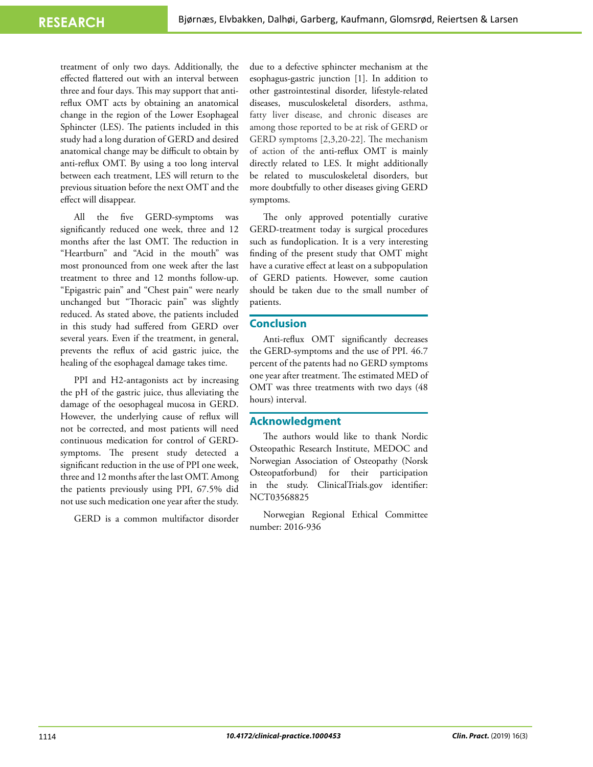treatment of only two days. Additionally, the effected flattered out with an interval between three and four days. This may support that antireflux OMT acts by obtaining an anatomical change in the region of the Lower Esophageal Sphincter (LES). The patients included in this study had a long duration of GERD and desired anatomical change may be difficult to obtain by anti-reflux OMT. By using a too long interval between each treatment, LES will return to the previous situation before the next OMT and the effect will disappear.

All the five GERD-symptoms was significantly reduced one week, three and 12 months after the last OMT. The reduction in "Heartburn" and "Acid in the mouth" was most pronounced from one week after the last treatment to three and 12 months follow-up. "Epigastric pain" and "Chest pain" were nearly unchanged but "Thoracic pain" was slightly reduced. As stated above, the patients included in this study had suffered from GERD over several years. Even if the treatment, in general, prevents the reflux of acid gastric juice, the healing of the esophageal damage takes time.

PPI and H2-antagonists act by increasing the pH of the gastric juice, thus alleviating the damage of the oesophageal mucosa in GERD. However, the underlying cause of reflux will not be corrected, and most patients will need continuous medication for control of GERDsymptoms. The present study detected a significant reduction in the use of PPI one week, three and 12 months after the last OMT. Among the patients previously using PPI, 67.5% did not use such medication one year after the study.

GERD is a common multifactor disorder

due to a defective sphincter mechanism at the esophagus-gastric junction [1]. In addition to other gastrointestinal disorder, lifestyle-related diseases, musculoskeletal disorders, asthma, fatty liver disease, and chronic diseases are among those reported to be at risk of GERD or GERD symptoms [2,3,20-22]. The mechanism of action of the anti-reflux OMT is mainly directly related to LES. It might additionally be related to musculoskeletal disorders, but more doubtfully to other diseases giving GERD symptoms.

The only approved potentially curative GERD-treatment today is surgical procedures such as fundoplication. It is a very interesting finding of the present study that OMT might have a curative effect at least on a subpopulation of GERD patients. However, some caution should be taken due to the small number of patients.

#### **Conclusion**

Anti-reflux OMT significantly decreases the GERD-symptoms and the use of PPI. 46.7 percent of the patents had no GERD symptoms one year after treatment. The estimated MED of OMT was three treatments with two days (48 hours) interval.

## **Acknowledgment**

The authors would like to thank Nordic Osteopathic Research Institute, MEDOC and Norwegian Association of Osteopathy (Norsk Osteopatforbund) for their participation in the study. ClinicalTrials.gov identifier: NCT03568825

Norwegian Regional Ethical Committee number: 2016-936